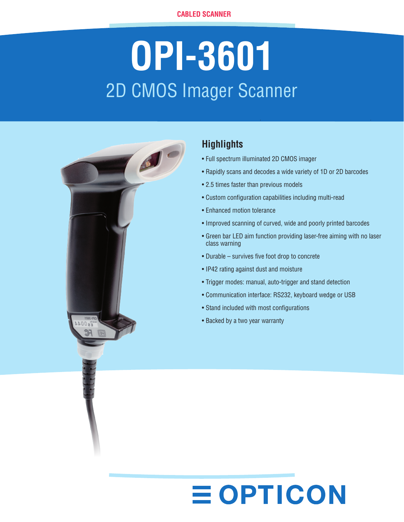# **OPI-3601** 2D CMOS Imager Scanner



# **Highlights**

- Full spectrum illuminated 2D CMOS imager
- • Rapidly scans and decodes a wide variety of 1D or 2D barcodes
- 2.5 times faster than previous models
- • Custom configuration capabilities including multi-read
- Enhanced motion tolerance
- Improved scanning of curved, wide and poorly printed barcodes
- Green bar LED aim function providing laser-free aiming with no laser class warning
- • Durable survives five foot drop to concrete
- IP42 rating against dust and moisture
- Trigger modes: manual, auto-trigger and stand detection
- • Communication interface: RS232, keyboard wedge or USB
- Stand included with most configurations

**EOPTICON** 

• Backed by a two year warranty